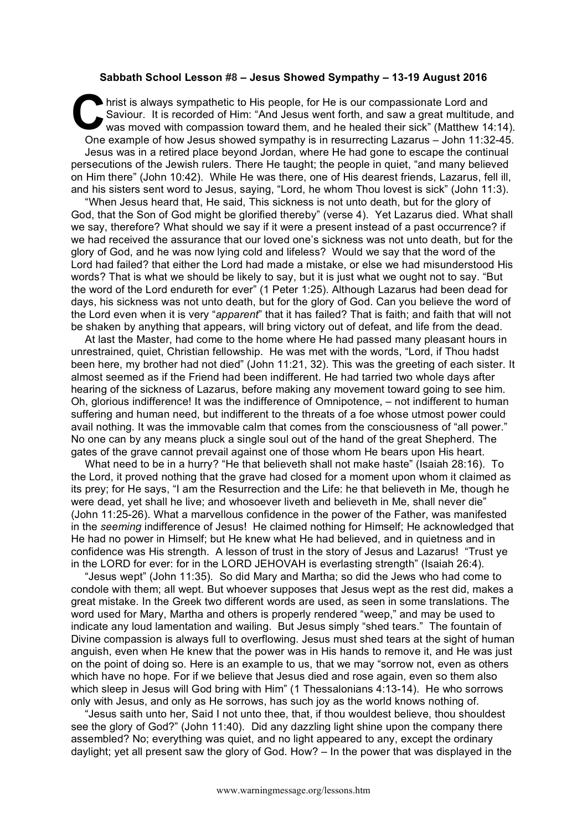## **Sabbath School Lesson #8 – Jesus Showed Sympathy – 13-19 August 2016**

hrist is always sympathetic to His people, for He is our compassionate Lord and Saviour. It is recorded of Him: "And Jesus went forth, and saw a great multitude, and was moved with compassion toward them, and he healed their sick" (Matthew 14:14). One example of how Jesus showed sympathy is in resurrecting Lazarus – John 11:32-45. Jesus was in a retired place beyond Jordan, where He had gone to escape the continual persecutions of the Jewish rulers. There He taught; the people in quiet, "and many believed on Him there" (John 10:42). While He was there, one of His dearest friends, Lazarus, fell ill, and his sisters sent word to Jesus, saying, "Lord, he whom Thou lovest is sick" (John 11:3). C Sa

"When Jesus heard that, He said, This sickness is not unto death, but for the glory of God, that the Son of God might be glorified thereby" (verse 4). Yet Lazarus died. What shall we say, therefore? What should we say if it were a present instead of a past occurrence? if we had received the assurance that our loved one's sickness was not unto death, but for the glory of God, and he was now lying cold and lifeless? Would we say that the word of the Lord had failed? that either the Lord had made a mistake, or else we had misunderstood His words? That is what we should be likely to say, but it is just what we ought not to say. "But the word of the Lord endureth for ever" (1 Peter 1:25). Although Lazarus had been dead for days, his sickness was not unto death, but for the glory of God. Can you believe the word of the Lord even when it is very "*apparent*" that it has failed? That is faith; and faith that will not be shaken by anything that appears, will bring victory out of defeat, and life from the dead.

At last the Master, had come to the home where He had passed many pleasant hours in unrestrained, quiet, Christian fellowship. He was met with the words, "Lord, if Thou hadst been here, my brother had not died" (John 11:21, 32). This was the greeting of each sister. It almost seemed as if the Friend had been indifferent. He had tarried two whole days after hearing of the sickness of Lazarus, before making any movement toward going to see him. Oh, glorious indifference! It was the indifference of Omnipotence, – not indifferent to human suffering and human need, but indifferent to the threats of a foe whose utmost power could avail nothing. It was the immovable calm that comes from the consciousness of "all power." No one can by any means pluck a single soul out of the hand of the great Shepherd. The gates of the grave cannot prevail against one of those whom He bears upon His heart.

What need to be in a hurry? "He that believeth shall not make haste" (Isaiah 28:16). To the Lord, it proved nothing that the grave had closed for a moment upon whom it claimed as its prey; for He says, "I am the Resurrection and the Life: he that believeth in Me, though he were dead, yet shall he live; and whosoever liveth and believeth in Me, shall never die" (John 11:25-26). What a marvellous confidence in the power of the Father, was manifested in the *seeming* indifference of Jesus! He claimed nothing for Himself; He acknowledged that He had no power in Himself; but He knew what He had believed, and in quietness and in confidence was His strength. A lesson of trust in the story of Jesus and Lazarus! "Trust ye in the LORD for ever: for in the LORD JEHOVAH is everlasting strength" (Isaiah 26:4).

"Jesus wept" (John 11:35). So did Mary and Martha; so did the Jews who had come to condole with them; all wept. But whoever supposes that Jesus wept as the rest did, makes a great mistake. In the Greek two different words are used, as seen in some translations. The word used for Mary, Martha and others is properly rendered "weep," and may be used to indicate any loud lamentation and wailing. But Jesus simply "shed tears." The fountain of Divine compassion is always full to overflowing. Jesus must shed tears at the sight of human anguish, even when He knew that the power was in His hands to remove it, and He was just on the point of doing so. Here is an example to us, that we may "sorrow not, even as others which have no hope. For if we believe that Jesus died and rose again, even so them also which sleep in Jesus will God bring with Him" (1 Thessalonians 4:13-14). He who sorrows only with Jesus, and only as He sorrows, has such joy as the world knows nothing of.

"Jesus saith unto her, Said I not unto thee, that, if thou wouldest believe, thou shouldest see the glory of God?" (John 11:40). Did any dazzling light shine upon the company there assembled? No; everything was quiet, and no light appeared to any, except the ordinary daylight; yet all present saw the glory of God. How? – In the power that was displayed in the